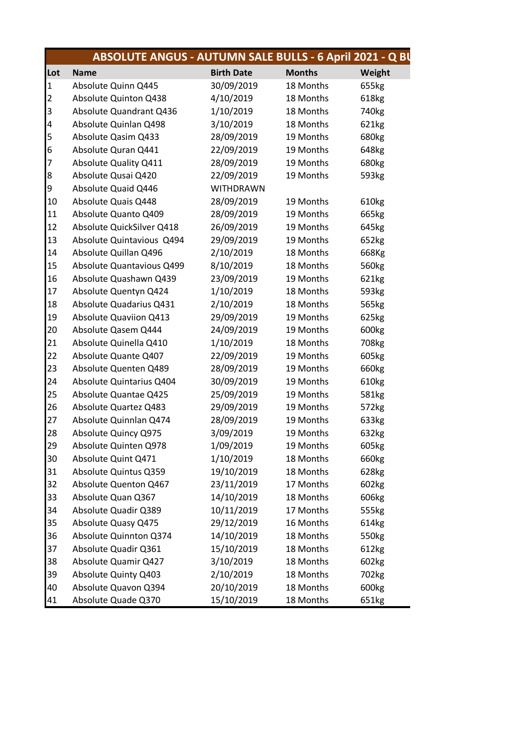|                | <b>ABSOLUTE ANGUS - AUTUMN SALE BULLS - 6 April 2021 - Q BU</b> |                   |               |                   |
|----------------|-----------------------------------------------------------------|-------------------|---------------|-------------------|
| Lot            | <b>Name</b>                                                     | <b>Birth Date</b> | <b>Months</b> | Weight            |
| $\mathbf{1}$   | Absolute Quinn Q445                                             | 30/09/2019        | 18 Months     | 655kg             |
| $\overline{c}$ | Absolute Quinton Q438                                           | 4/10/2019         | 18 Months     | 618kg             |
| 3              | Absolute Quandrant Q436                                         | 1/10/2019         | 18 Months     | 740 <sub>kg</sub> |
| 4              | Absolute Quinlan Q498                                           | 3/10/2019         | 18 Months     | 621kg             |
| 5              | Absolute Qasim Q433                                             | 28/09/2019        | 19 Months     | 680kg             |
| 6              | Absolute Quran Q441                                             | 22/09/2019        | 19 Months     | 648kg             |
| 7              | <b>Absolute Quality Q411</b>                                    | 28/09/2019        | 19 Months     | 680kg             |
| 8              | Absolute Qusai Q420                                             | 22/09/2019        | 19 Months     | 593kg             |
| 9              | Absolute Quaid Q446                                             | <b>WITHDRAWN</b>  |               |                   |
| 10             | Absolute Quais Q448                                             | 28/09/2019        | 19 Months     | 610kg             |
| 11             | Absolute Quanto Q409                                            | 28/09/2019        | 19 Months     | 665kg             |
| 12             | Absolute QuickSilver Q418                                       | 26/09/2019        | 19 Months     | 645kg             |
| 13             | Absolute Quintavious Q494                                       | 29/09/2019        | 19 Months     | 652kg             |
| 14             | Absolute Quillan Q496                                           | 2/10/2019         | 18 Months     | 668Kg             |
| 15             | Absolute Quantavious Q499                                       | 8/10/2019         | 18 Months     | 560kg             |
| 16             | Absolute Quashawn Q439                                          | 23/09/2019        | 19 Months     | 621kg             |
| 17             | Absolute Quentyn Q424                                           | 1/10/2019         | 18 Months     | 593kg             |
| 18             | Absolute Quadarius Q431                                         | 2/10/2019         | 18 Months     | 565kg             |
| 19             | Absolute Quaviion Q413                                          | 29/09/2019        | 19 Months     | 625kg             |
| 20             | Absolute Qasem Q444                                             | 24/09/2019        | 19 Months     | 600kg             |
| 21             | Absolute Quinella Q410                                          | 1/10/2019         | 18 Months     | 708kg             |
| 22             | Absolute Quante Q407                                            | 22/09/2019        | 19 Months     | 605kg             |
| 23             | Absolute Quenten Q489                                           | 28/09/2019        | 19 Months     | 660kg             |
| 24             | Absolute Quintarius Q404                                        | 30/09/2019        | 19 Months     | 610kg             |
| 25             | Absolute Quantae Q425                                           | 25/09/2019        | 19 Months     | 581kg             |
| 26             | Absolute Quartez Q483                                           | 29/09/2019        | 19 Months     | 572kg             |
| 27             | Absolute Quinnlan Q474                                          | 28/09/2019        | 19 Months     | 633kg             |
| 28             | Absolute Quincy Q975                                            | 3/09/2019         | 19 Months     | 632kg             |
| 29             | Absolute Quinten Q978                                           | 1/09/2019         | 19 Months     | 605kg             |
| 30             | Absolute Quint Q471                                             | 1/10/2019         | 18 Months     | 660kg             |
| 31             | Absolute Quintus Q359                                           | 19/10/2019        | 18 Months     | 628kg             |
| 32             | Absolute Quenton Q467                                           | 23/11/2019        | 17 Months     | 602kg             |
| 33             | Absolute Quan Q367                                              | 14/10/2019        | 18 Months     | 606kg             |
| 34             | Absolute Quadir Q389                                            | 10/11/2019        | 17 Months     | 555kg             |
| 35             | Absolute Quasy Q475                                             | 29/12/2019        | 16 Months     | 614kg             |
| 36             | Absolute Quinnton Q374                                          | 14/10/2019        | 18 Months     | 550kg             |
| 37             | Absolute Quadir Q361                                            | 15/10/2019        | 18 Months     | 612kg             |
| 38             | Absolute Quamir Q427                                            | 3/10/2019         | 18 Months     | 602kg             |
| 39             | Absolute Quinty Q403                                            | 2/10/2019         | 18 Months     | 702kg             |
| 40             | Absolute Quavon Q394                                            | 20/10/2019        | 18 Months     | 600kg             |
| 41             | Absolute Quade Q370                                             | 15/10/2019        | 18 Months     | 651kg             |